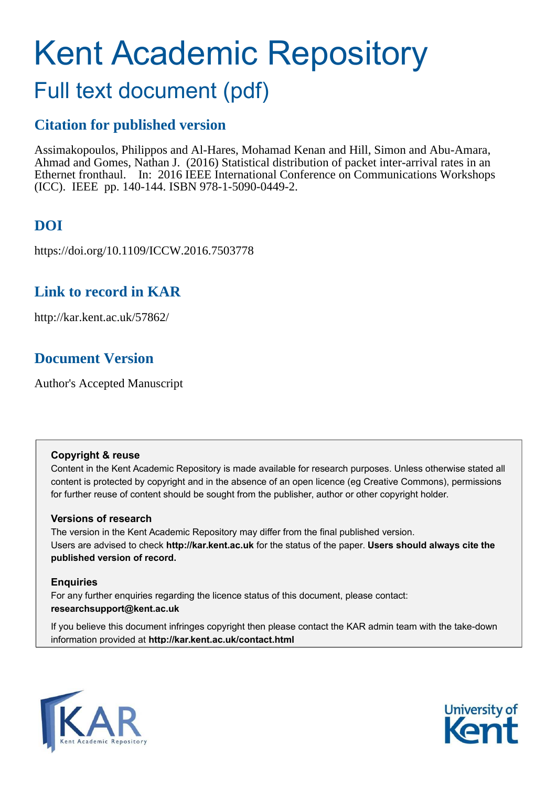# Kent Academic Repository

# Full text document (pdf)

## **Citation for published version**

Assimakopoulos, Philippos and Al-Hares, Mohamad Kenan and Hill, Simon and Abu-Amara, Ahmad and Gomes, Nathan J. (2016) Statistical distribution of packet inter-arrival rates in an Ethernet fronthaul. In: 2016 IEEE International Conference on Communications Workshops (ICC). IEEE pp. 140-144. ISBN 978-1-5090-0449-2.

# **DOI**

https://doi.org/10.1109/ICCW.2016.7503778

## **Link to record in KAR**

http://kar.kent.ac.uk/57862/

## **Document Version**

Author's Accepted Manuscript

### **Copyright & reuse**

Content in the Kent Academic Repository is made available for research purposes. Unless otherwise stated all content is protected by copyright and in the absence of an open licence (eg Creative Commons), permissions for further reuse of content should be sought from the publisher, author or other copyright holder.

### **Versions of research**

The version in the Kent Academic Repository may differ from the final published version. Users are advised to check **http://kar.kent.ac.uk** for the status of the paper. **Users should always cite the published version of record.**

### **Enquiries**

For any further enquiries regarding the licence status of this document, please contact: **researchsupport@kent.ac.uk**

If you believe this document infringes copyright then please contact the KAR admin team with the take-down information provided at **http://kar.kent.ac.uk/contact.html**



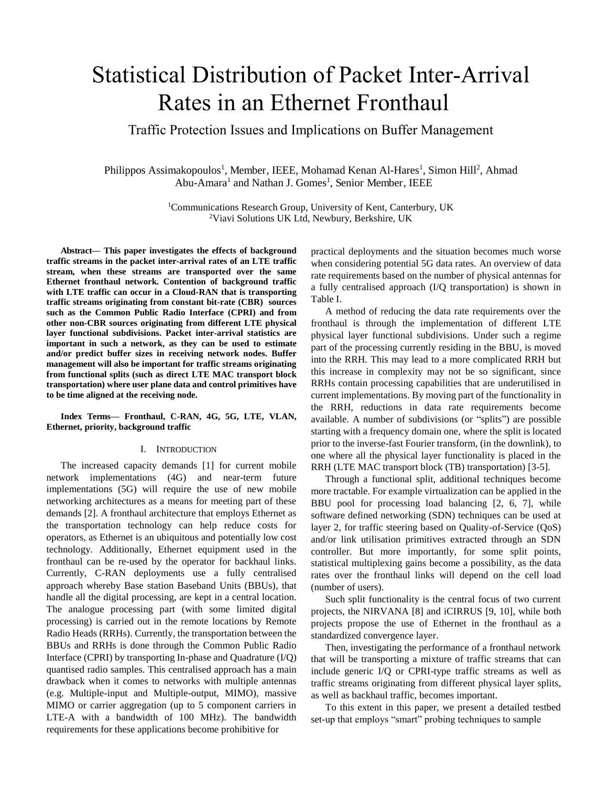# Statistical Distribution of Packet Inter-Arrival Rates in an Ethernet Fronthaul

Traffic Protection Issues and Implications on Buffer Management

Philippos Assimakopoulos<sup>1</sup>, Member, IEEE, Mohamad Kenan Al-Hares<sup>1</sup>, Simon Hill<sup>2</sup>, Ahmad Abu-Amara<sup>1</sup> and Nathan J. Gomes<sup>1</sup>, Senior Member, IEEE

> <sup>1</sup>Communications Research Group, University of Kent, Canterbury, UK 2Viavi Solutions UK Ltd, Newbury, Berkshire, UK

**Abstract— This paper investigates the effects of background traffic streams in the packet inter-arrival rates of an LTE traffic stream, when these streams are transported over the same Ethernet fronthaul network. Contention of background traffic with LTE traffic can occur in a Cloud-RAN that is transporting traffic streams originating from constant bit-rate (CBR) sources such as the Common Public Radio Interface (CPRI) and from other non-CBR sources originating from different LTE physical layer functional subdivisions. Packet inter-arrival statistics are important in such a network, as they can be used to estimate and/or predict buffer sizes in receiving network nodes. Buffer management will also be important for traffic streams originating from functional splits (such as direct LTE MAC transport block transportation) where user plane data and control primitives have to be time aligned at the receiving node.** 

### **Index Terms— Fronthaul, C-RAN, 4G, 5G, LTE, VLAN, Ethernet, priority, background traffic**

### I. INTRODUCTION

The increased capacity demands [1] for current mobile network implementations (4G) and near-term future implementations (5G) will require the use of new mobile networking architectures as a means for meeting part of these demands [2]. A fronthaul architecture that employs Ethernet as the transportation technology can help reduce costs for operators, as Ethernet is an ubiquitous and potentially low cost technology. Additionally, Ethernet equipment used in the fronthaul can be re-used by the operator for backhaul links. Currently, C-RAN deployments use a fully centralised approach whereby Base station Baseband Units (BBUs), that handle all the digital processing, are kept in a central location. The analogue processing part (with some limited digital processing) is carried out in the remote locations by Remote Radio Heads (RRHs). Currently, the transportation between the BBUs and RRHs is done through the Common Public Radio Interface (CPRI) by transporting In-phase and Quadrature  $(I/Q)$ quantised radio samples. This centralised approach has a main drawback when it comes to networks with multiple antennas (e.g. Multiple-input and Multiple-output, MIMO), massive MIMO or carrier aggregation (up to 5 component carriers in LTE-A with a bandwidth of 100 MHz). The bandwidth requirements for these applications become prohibitive for

practical deployments and the situation becomes much worse when considering potential 5G data rates. An overview of data rate requirements based on the number of physical antennas for a fully centralised approach (I/Q transportation) is shown in Table I.

A method of reducing the data rate requirements over the fronthaul is through the implementation of different LTE physical layer functional subdivisions. Under such a regime part of the processing currently residing in the BBU, is moved into the RRH. This may lead to a more complicated RRH but this increase in complexity may not be so significant, since RRHs contain processing capabilities that are underutilised in current implementations. By moving part of the functionality in the RRH, reductions in data rate requirements become available. A number of subdivisions (or "splits") are possible starting with a frequency domain one, where the split is located prior to the inverse-fast Fourier transform, (in the downlink), to one where all the physical layer functionality is placed in the RRH (LTE MAC transport block (TB) transportation) [3-5].

Through a functional split, additional techniques become more tractable. For example virtualization can be applied in the BBU pool for processing load balancing [2, 6, 7], while software defined networking (SDN) techniques can be used at layer 2, for traffic steering based on Quality-of-Service (QoS) and/or link utilisation primitives extracted through an SDN controller. But more importantly, for some split points, statistical multiplexing gains become a possibility, as the data rates over the fronthaul links will depend on the cell load (number of users).

Such split functionality is the central focus of two current projects, the NIRVANA [8] and iCIRRUS [9, 10], while both projects propose the use of Ethernet in the fronthaul as a standardized convergence layer.

Then, investigating the performance of a fronthaul network that will be transporting a mixture of traffic streams that can include generic I/Q or CPRI-type traffic streams as well as traffic streams originating from different physical layer splits, as well as backhaul traffic, becomes important.

To this extent in this paper, we present a detailed testbed set-up that employs "smart" probing techniques to sample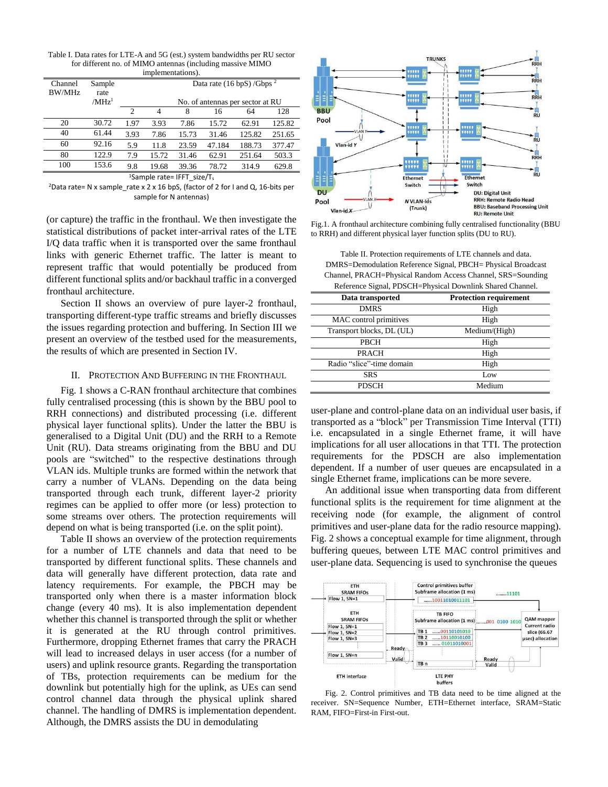Table I. Data rates for LTE-A and 5G (est.) system bandwidths per RU sector for different no. of MIMO antennas (including massive MIMO implementations).

| $\mathbf{m}$      |                                     |                                                                                     |       |       |        |        |        |  |
|-------------------|-------------------------------------|-------------------------------------------------------------------------------------|-------|-------|--------|--------|--------|--|
| Channel<br>BW/MHz | Sample<br>rate<br>/MHz <sup>1</sup> | Data rate $(16 \text{ bpS})$ /Gbps <sup>2</sup><br>No. of antennas per sector at RU |       |       |        |        |        |  |
|                   |                                     |                                                                                     |       |       |        |        |        |  |
|                   |                                     | $\mathcal{D}_{\mathcal{L}}$                                                         | 4     | 8     | 16     | 64     | 128    |  |
| 20                | 30.72                               | 1.97                                                                                | 3.93  | 7.86  | 15.72  | 62.91  | 125.82 |  |
| 40                | 61.44                               | 3.93                                                                                | 7.86  | 15.73 | 31.46  | 125.82 | 251.65 |  |
| 60                | 92.16                               | 5.9                                                                                 | 11.8  | 23.59 | 47.184 | 188.73 | 377.47 |  |
| 80                | 122.9                               | 7.9                                                                                 | 15.72 | 31.46 | 62.91  | 251.64 | 503.3  |  |
| 100               | 153.6                               | 9.8                                                                                 | 19.68 | 39.36 | 78.72  | 314.9  | 629.8  |  |

<sup>1</sup>Sample rate= IFFT\_size/T<sup>s</sup>

<sup>2</sup>Data rate= N x sample\_rate x 2 x 16 bpS, (factor of 2 for I and Q, 16-bits per sample for N antennas)

(or capture) the traffic in the fronthaul. We then investigate the statistical distributions of packet inter-arrival rates of the LTE I/Q data traffic when it is transported over the same fronthaul links with generic Ethernet traffic. The latter is meant to represent traffic that would potentially be produced from different functional splits and/or backhaul traffic in a converged fronthaul architecture.

Section II shows an overview of pure layer-2 fronthaul, transporting different-type traffic streams and briefly discusses the issues regarding protection and buffering. In Section III we present an overview of the testbed used for the measurements, the results of which are presented in Section IV.

### II. PROTECTION AND BUFFERING IN THE FRONTHAUL

Fig. 1 shows a C-RAN fronthaul architecture that combines fully centralised processing (this is shown by the BBU pool to RRH connections) and distributed processing (i.e. different physical layer functional splits). Under the latter the BBU is generalised to a Digital Unit (DU) and the RRH to a Remote Unit (RU). Data streams originating from the BBU and DU pools are "switched" to the respective destinations through VLAN ids. Multiple trunks are formed within the network that carry a number of VLANs. Depending on the data being transported through each trunk, different layer-2 priority regimes can be applied to offer more (or less) protection to some streams over others. The protection requirements will depend on what is being transported (i.e. on the split point).

Table II shows an overview of the protection requirements for a number of LTE channels and data that need to be transported by different functional splits. These channels and data will generally have different protection, data rate and latency requirements. For example, the PBCH may be transported only when there is a master information block change (every 40 ms). It is also implementation dependent whether this channel is transported through the split or whether it is generated at the RU through control primitives. Furthermore, dropping Ethernet frames that carry the PRACH will lead to increased delays in user access (for a number of users) and uplink resource grants. Regarding the transportation of TBs, protection requirements can be medium for the downlink but potentially high for the uplink, as UEs can send control channel data through the physical uplink shared channel. The handling of DMRS is implementation dependent. Although, the DMRS assists the DU in demodulating



Fig.1. A fronthaul architecture combining fully centralised functionality (BBU to RRH) and different physical layer function splits (DU to RU).

Table II. Protection requirements of LTE channels and data. DMRS=Demodulation Reference Signal, PBCH= Physical Broadcast Channel, PRACH=Physical Random Access Channel, SRS=Sounding Reference Signal, PDSCH=Physical Downlink Shared Channel.

| Data transported          | <b>Protection requirement</b> |  |  |
|---------------------------|-------------------------------|--|--|
| <b>DMRS</b>               | High                          |  |  |
| MAC control primitives    | High                          |  |  |
| Transport blocks, DL (UL) | Medium/(High)                 |  |  |
| PBCH                      | High                          |  |  |
| <b>PRACH</b>              | High                          |  |  |
| Radio "slice"-time domain | High                          |  |  |
| <b>SRS</b>                | Low                           |  |  |
| <b>PDSCH</b>              | Medium                        |  |  |

user-plane and control-plane data on an individual user basis, if transported as a "block" per Transmission Time Interval (TTI) i.e. encapsulated in a single Ethernet frame, it will have implications for all user allocations in that TTI. The protection requirements for the PDSCH are also implementation dependent. If a number of user queues are encapsulated in a single Ethernet frame, implications can be more severe.

An additional issue when transporting data from different functional splits is the requirement for time alignment at the receiving node (for example, the alignment of control primitives and user-plane data for the radio resource mapping). Fig. 2 shows a conceptual example for time alignment, through buffering queues, between LTE MAC control primitives and user-plane data. Sequencing is used to synchronise the queues



Fig. 2. Control primitives and TB data need to be time aligned at the receiver. SN=Sequence Number, ETH=Ethernet interface, SRAM=Static RAM, FIFO=First-in First-out.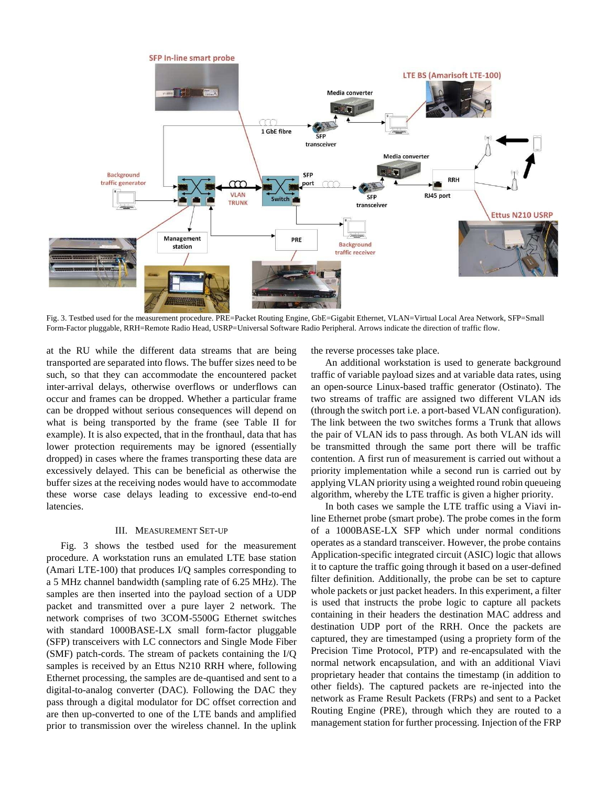

Fig. 3. Testbed used for the measurement procedure. PRE=Packet Routing Engine, GbE=Gigabit Ethernet, VLAN=Virtual Local Area Network, SFP=Small Form-Factor pluggable, RRH=Remote Radio Head, USRP=Universal Software Radio Peripheral. Arrows indicate the direction of traffic flow.

at the RU while the different data streams that are being transported are separated into flows. The buffer sizes need to be such, so that they can accommodate the encountered packet inter-arrival delays, otherwise overflows or underflows can occur and frames can be dropped. Whether a particular frame can be dropped without serious consequences will depend on what is being transported by the frame (see Table II for example). It is also expected, that in the fronthaul, data that has lower protection requirements may be ignored (essentially dropped) in cases where the frames transporting these data are excessively delayed. This can be beneficial as otherwise the buffer sizes at the receiving nodes would have to accommodate these worse case delays leading to excessive end-to-end latencies.

### III. MEASUREMENT SET-UP

Fig. 3 shows the testbed used for the measurement procedure. A workstation runs an emulated LTE base station (Amari LTE-100) that produces I/Q samples corresponding to a 5 MHz channel bandwidth (sampling rate of 6.25 MHz). The samples are then inserted into the payload section of a UDP packet and transmitted over a pure layer 2 network. The network comprises of two 3COM-5500G Ethernet switches with standard 1000BASE-LX small form-factor pluggable (SFP) transceivers with LC connectors and Single Mode Fiber (SMF) patch-cords. The stream of packets containing the I/Q samples is received by an Ettus N210 RRH where, following Ethernet processing, the samples are de-quantised and sent to a digital-to-analog converter (DAC). Following the DAC they pass through a digital modulator for DC offset correction and are then up-converted to one of the LTE bands and amplified prior to transmission over the wireless channel. In the uplink

the reverse processes take place.

An additional workstation is used to generate background traffic of variable payload sizes and at variable data rates, using an open-source Linux-based traffic generator (Ostinato). The two streams of traffic are assigned two different VLAN ids (through the switch port i.e. a port-based VLAN configuration). The link between the two switches forms a Trunk that allows the pair of VLAN ids to pass through. As both VLAN ids will be transmitted through the same port there will be traffic contention. A first run of measurement is carried out without a priority implementation while a second run is carried out by applying VLAN priority using a weighted round robin queueing algorithm, whereby the LTE traffic is given a higher priority.

In both cases we sample the LTE traffic using a Viavi inline Ethernet probe (smart probe). The probe comes in the form of a 1000BASE-LX SFP which under normal conditions operates as a standard transceiver. However, the probe contains Application-specific integrated circuit (ASIC) logic that allows it to capture the traffic going through it based on a user-defined filter definition. Additionally, the probe can be set to capture whole packets or just packet headers. In this experiment, a filter is used that instructs the probe logic to capture all packets containing in their headers the destination MAC address and destination UDP port of the RRH. Once the packets are captured, they are timestamped (using a propriety form of the Precision Time Protocol, PTP) and re-encapsulated with the normal network encapsulation, and with an additional Viavi proprietary header that contains the timestamp (in addition to other fields). The captured packets are re-injected into the network as Frame Result Packets (FRPs) and sent to a Packet Routing Engine (PRE), through which they are routed to a management station for further processing. Injection of the FRP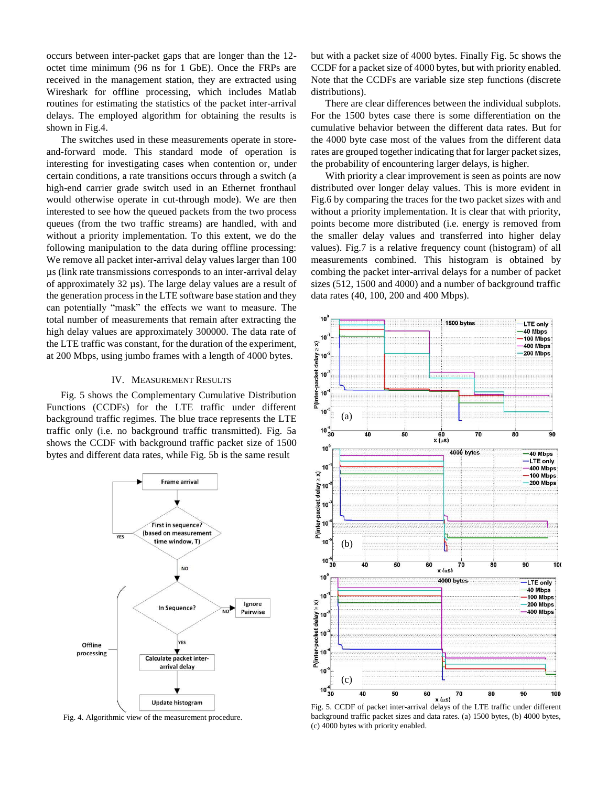occurs between inter-packet gaps that are longer than the 12 octet time minimum (96 ns for 1 GbE). Once the FRPs are received in the management station, they are extracted using Wireshark for offline processing, which includes Matlab routines for estimating the statistics of the packet inter-arrival delays. The employed algorithm for obtaining the results is shown in Fig.4.

The switches used in these measurements operate in storeand-forward mode. This standard mode of operation is interesting for investigating cases when contention or, under certain conditions, a rate transitions occurs through a switch (a high-end carrier grade switch used in an Ethernet fronthaul would otherwise operate in cut-through mode). We are then interested to see how the queued packets from the two process queues (from the two traffic streams) are handled, with and without a priority implementation. To this extent, we do the following manipulation to the data during offline processing: We remove all packet inter-arrival delay values larger than 100 µs (link rate transmissions corresponds to an inter-arrival delay of approximately 32 µs). The large delay values are a result of the generation process in the LTE software base station and they can potentially "mask" the effects we want to measure. The total number of measurements that remain after extracting the high delay values are approximately 300000. The data rate of the LTE traffic was constant, for the duration of the experiment, at 200 Mbps, using jumbo frames with a length of 4000 bytes.

### IV. MEASUREMENT RESULTS

Fig. 5 shows the Complementary Cumulative Distribution Functions (CCDFs) for the LTE traffic under different background traffic regimes. The blue trace represents the LTE traffic only (i.e. no background traffic transmitted). Fig. 5a shows the CCDF with background traffic packet size of 1500 bytes and different data rates, while Fig. 5b is the same result



Fig. 4. Algorithmic view of the measurement procedure.

but with a packet size of 4000 bytes. Finally Fig. 5c shows the CCDF for a packet size of 4000 bytes, but with priority enabled. Note that the CCDFs are variable size step functions (discrete distributions).

There are clear differences between the individual subplots. For the 1500 bytes case there is some differentiation on the cumulative behavior between the different data rates. But for the 4000 byte case most of the values from the different data rates are grouped together indicating that for larger packet sizes, the probability of encountering larger delays, is higher.

With priority a clear improvement is seen as points are now distributed over longer delay values. This is more evident in Fig.6 by comparing the traces for the two packet sizes with and without a priority implementation. It is clear that with priority, points become more distributed (i.e. energy is removed from the smaller delay values and transferred into higher delay values). Fig.7 is a relative frequency count (histogram) of all measurements combined. This histogram is obtained by combing the packet inter-arrival delays for a number of packet sizes (512, 1500 and 4000) and a number of background traffic data rates (40, 100, 200 and 400 Mbps).



Fig. 5. CCDF of packet inter-arrival delays of the LTE traffic under different background traffic packet sizes and data rates. (a) 1500 bytes, (b) 4000 bytes, (c) 4000 bytes with priority enabled.